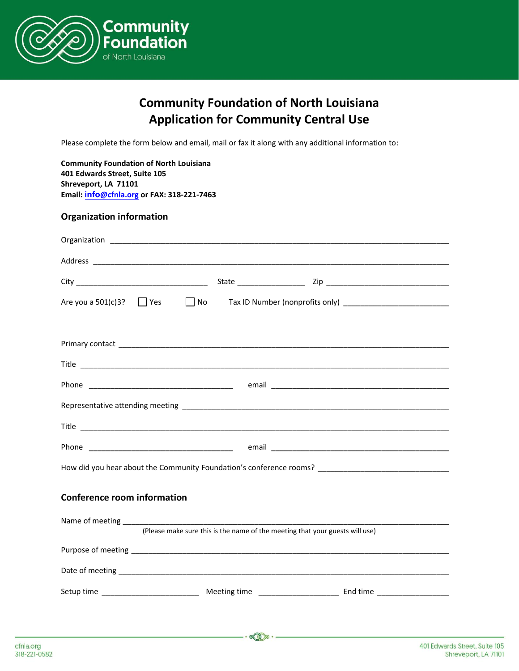

# **Community Foundation of North Louisiana Application for Community Central Use**

Please complete the form below and email, mail or fax it along with any additional information to:

**Community Foundation of North Louisiana 401 Edwards Street, Suite 105 Shreveport, LA 71101 Email: info[@cfnla.org](mailto:milton@cfnla.org) or FAX: 318-221-7463** 

# **Organization information**

| Are you a $501(c)3$ ? $\Box$ Yes                                                                     |                                                                              |  |  |  |
|------------------------------------------------------------------------------------------------------|------------------------------------------------------------------------------|--|--|--|
|                                                                                                      |                                                                              |  |  |  |
|                                                                                                      |                                                                              |  |  |  |
|                                                                                                      |                                                                              |  |  |  |
|                                                                                                      |                                                                              |  |  |  |
|                                                                                                      |                                                                              |  |  |  |
|                                                                                                      |                                                                              |  |  |  |
|                                                                                                      |                                                                              |  |  |  |
| How did you hear about the Community Foundation's conference rooms? ________________________________ |                                                                              |  |  |  |
|                                                                                                      |                                                                              |  |  |  |
| <b>Conference room information</b>                                                                   |                                                                              |  |  |  |
|                                                                                                      |                                                                              |  |  |  |
|                                                                                                      | (Please make sure this is the name of the meeting that your guests will use) |  |  |  |
|                                                                                                      |                                                                              |  |  |  |
|                                                                                                      |                                                                              |  |  |  |
|                                                                                                      |                                                                              |  |  |  |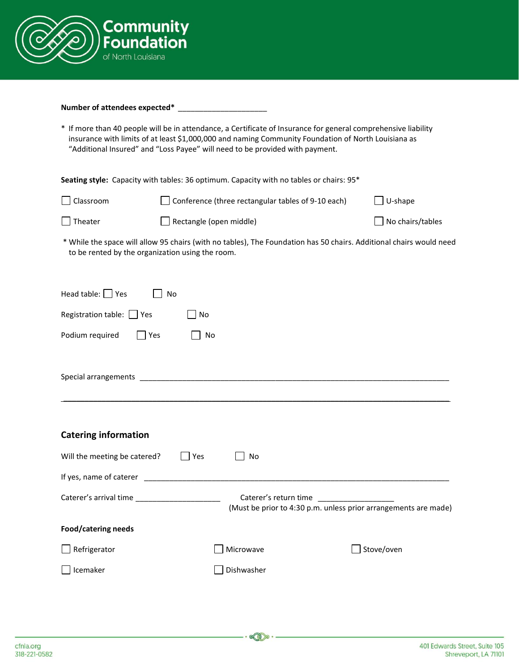

#### Number of attendees expected\* \_\_\_\_

\* If more than 40 people will be in attendance, a Certificate of Insurance for general comprehensive liability insurance with limits of at least \$1,000,000 and naming Community Foundation of North Louisiana as "Additional Insured" and "Loss Payee" will need to be provided with payment.

**Seating style:** Capacity with tables: 36 optimum. Capacity with no tables or chairs: 95\*

| $\Box$ Classroom | $\Box$ Conference (three rectangular tables of 9-10 each) | $\Box$ U-shape          |
|------------------|-----------------------------------------------------------|-------------------------|
| $\Box$ Theater   | $\Box$ Rectangle (open middle)                            | $\Box$ No chairs/tables |

\* While the space will allow 95 chairs (with no tables), The Foundation has 50 chairs. Additional chairs would need to be rented by the organization using the room.

| Head table: $\Box$ Yes<br>No                                                                                                             |
|------------------------------------------------------------------------------------------------------------------------------------------|
| Registration table: Simples<br>No                                                                                                        |
| l Yes<br>No                                                                                                                              |
|                                                                                                                                          |
|                                                                                                                                          |
| ,我们也不会有什么。""我们的人,我们也不会有什么?""我们的人,我们也不会有什么?""我们的人,我们也不会有什么?""我们的人,我们也不会有什么?""我们的人                                                         |
| <b>Catering information</b>                                                                                                              |
| Will the meeting be catered?<br>Yes<br>No                                                                                                |
|                                                                                                                                          |
| Caterer's arrival time _____________________<br>Caterer's return time<br>(Must be prior to 4:30 p.m. unless prior arrangements are made) |
| Food/catering needs                                                                                                                      |
| Stove/oven<br>Microwave                                                                                                                  |
| Dishwasher                                                                                                                               |
|                                                                                                                                          |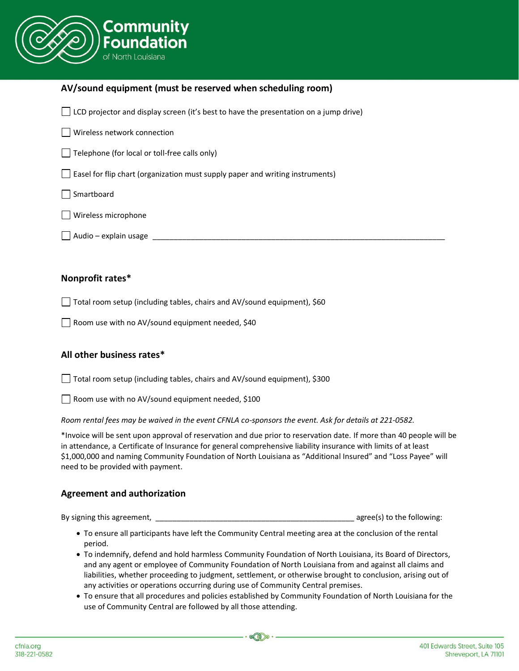

# **AV/sound equipment (must be reserved when scheduling room)**

 $\Box$  LCD projector and display screen (it's best to have the presentation on a jump drive)

Wireless network connection

 $\Box$  Telephone (for local or toll-free calls only)

 $\Box$  Easel for flip chart (organization must supply paper and writing instruments)

Smartboard

Wireless microphone

Audio – explain usage \_\_\_\_\_\_\_\_\_\_\_\_\_\_\_\_\_\_\_\_\_\_\_\_\_\_\_\_\_\_\_\_\_\_\_\_\_\_\_\_\_\_\_\_\_\_\_\_\_\_\_\_\_\_\_\_\_\_\_\_\_\_\_\_\_\_\_\_\_

# **Nonprofit rates\***

□ Total room setup (including tables, chairs and AV/sound equipment), \$60

 $\Box$  Room use with no AV/sound equipment needed, \$40

# **All other business rates\***

Total room setup (including tables, chairs and AV/sound equipment), \$300

Room use with no AV/sound equipment needed, \$100

*Room rental fees may be waived in the event CFNLA co-sponsors the event. Ask for details at 221-0582.*

\*Invoice will be sent upon approval of reservation and due prior to reservation date. If more than 40 people will be in attendance, a Certificate of Insurance for general comprehensive liability insurance with limits of at least \$1,000,000 and naming Community Foundation of North Louisiana as "Additional Insured" and "Loss Payee" will need to be provided with payment.

# **Agreement and authorization**

By signing this agreement, \_\_\_\_\_\_\_\_\_\_\_\_\_\_\_\_\_\_\_\_\_\_\_\_\_\_\_\_\_\_\_\_\_\_\_\_\_\_\_\_\_\_\_\_\_\_\_ agree(s) to the following:

- To ensure all participants have left the Community Central meeting area at the conclusion of the rental period.
- To indemnify, defend and hold harmless Community Foundation of North Louisiana, its Board of Directors, and any agent or employee of Community Foundation of North Louisiana from and against all claims and liabilities, whether proceeding to judgment, settlement, or otherwise brought to conclusion, arising out of any activities or operations occurring during use of Community Central premises.
- To ensure that all procedures and policies established by Community Foundation of North Louisiana for the use of Community Central are followed by all those attending.